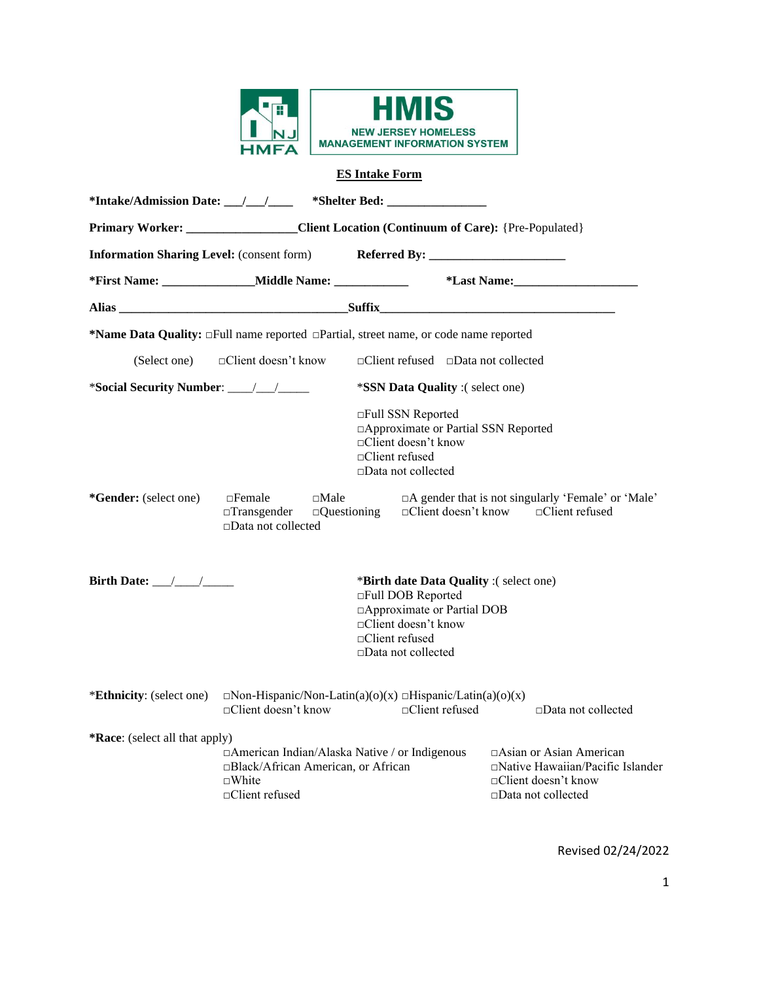



# **ES Intake Form**

|                                                                                         | *Intake/Admission Date: __/__/_____ *Shelter Bed: ______________________________                                                |                                                                                                                                                                            |                                                                                                                       |  |  |  |  |
|-----------------------------------------------------------------------------------------|---------------------------------------------------------------------------------------------------------------------------------|----------------------------------------------------------------------------------------------------------------------------------------------------------------------------|-----------------------------------------------------------------------------------------------------------------------|--|--|--|--|
| Primary Worker: ___________________Client Location (Continuum of Care): {Pre-Populated} |                                                                                                                                 |                                                                                                                                                                            |                                                                                                                       |  |  |  |  |
| <b>Information Sharing Level:</b> (consent form)                                        |                                                                                                                                 |                                                                                                                                                                            |                                                                                                                       |  |  |  |  |
|                                                                                         | *First Name: ___________________Middle Name: _______________                                                                    |                                                                                                                                                                            | *Last Name: Manual Manual Manual Manual Manual Manual Manual Manual Manual Manual Manual Manual Manual Manual         |  |  |  |  |
|                                                                                         |                                                                                                                                 |                                                                                                                                                                            | Alias Suffix Suffix                                                                                                   |  |  |  |  |
|                                                                                         | *Name Data Quality: $\Box$ Full name reported $\Box$ Partial, street name, or code name reported                                |                                                                                                                                                                            |                                                                                                                       |  |  |  |  |
|                                                                                         | (Select one) □ □ □ ○ ○ □ □ octient doesn't know                                                                                 | $\Box$ Client refused $\Box$ Data not collected                                                                                                                            |                                                                                                                       |  |  |  |  |
|                                                                                         |                                                                                                                                 | *SSN Data Quality :( select one)                                                                                                                                           |                                                                                                                       |  |  |  |  |
|                                                                                         |                                                                                                                                 | □Full SSN Reported<br>□ Approximate or Partial SSN Reported<br>□Client doesn't know<br>□Client refused<br>$\Box$ Data not collected                                        |                                                                                                                       |  |  |  |  |
| *Gender: (select one)                                                                   | $\Box$ Female<br>$\square$ Male<br>$\Box$ Transgender<br>$\Box$ Questioning<br>□Data not collected                              |                                                                                                                                                                            | $\Box A$ gender that is not singularly 'Female' or 'Male'<br>$\Box$ Client doesn't know $\Box$ Client refused         |  |  |  |  |
| Birth Date: $\frac{1}{\sqrt{1-\frac{1}{2}}}$                                            |                                                                                                                                 | *Birth date Data Quality :(select one)<br>□Full DOB Reported<br>□ Approximate or Partial DOB<br>□Client doesn't know<br>$\Box$ Client refused<br>$\Box$ Data not collected |                                                                                                                       |  |  |  |  |
| *Ethnicity: (select one)                                                                | $\Box$ Non-Hispanic/Non-Latin(a)(o)(x) $\Box$ Hispanic/Latin(a)(o)(x)<br>$\Box$ Client doesn't know                             | $\Box$ Client refused                                                                                                                                                      | $\Box$ Data not collected                                                                                             |  |  |  |  |
| <b>*Race:</b> (select all that apply)                                                   |                                                                                                                                 |                                                                                                                                                                            |                                                                                                                       |  |  |  |  |
|                                                                                         | □ American Indian/Alaska Native / or Indigenous<br>□Black/African American, or African<br>$\neg$ White<br>$\Box$ Client refused |                                                                                                                                                                            | □Asian or Asian American<br>□Native Hawaiian/Pacific Islander<br>□Client doesn't know<br>$\square$ Data not collected |  |  |  |  |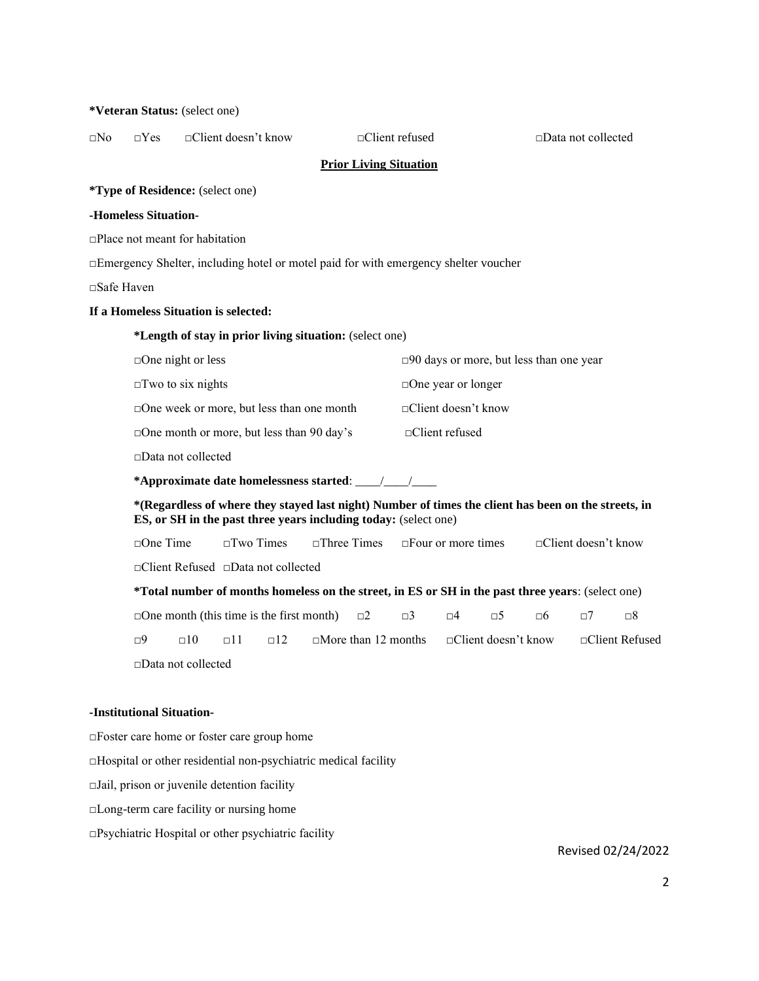# □No □Yes □Client doesn't know □Client refused □Data not collected **Prior Living Situation \*Type of Residence:** (select one) **-Homeless Situation-** □Place not meant for habitation □Emergency Shelter, including hotel or motel paid for with emergency shelter voucher □Safe Haven **If a Homeless Situation is selected: \*Length of stay in prior living situation:** (select one) □One night or less □90 days or more, but less than one year □Two to six nights □One year or longer □One week or more, but less than one month □Client doesn't know □One month or more, but less than 90 day's □Client refused □Data not collected **\*Approximate date homelessness started**: \_\_\_\_/\_\_\_\_/\_\_\_\_ **\*(Regardless of where they stayed last night) Number of times the client has been on the streets, in ES, or SH in the past three years including today:** (select one) □One Time □Two Times □Three Times □Four or more times □Client doesn't know □Client Refused □Data not collected **\*Total number of months homeless on the street, in ES or SH in the past three years**: (select one)  $\Box$ One month (this time is the first month)  $\Box$ 2  $\Box$ 3  $\Box$ 4  $\Box$ 5  $\Box$ 6  $\Box$ 7  $\Box$ 8  $\Box$ 9  $\Box$ 10  $\Box$ 12  $\Box$ More than 12 months  $\Box$ Client doesn't know  $\Box$ Client Refused □Data not collected **-Institutional Situation-**

**\*Veteran Status:** (select one)

□Foster care home or foster care group home □Hospital or other residential non-psychiatric medical facility  $\Box$ Jail, prison or juvenile detention facility □Long-term care facility or nursing home  $\Box$ Psychiatric Hospital or other psychiatric facility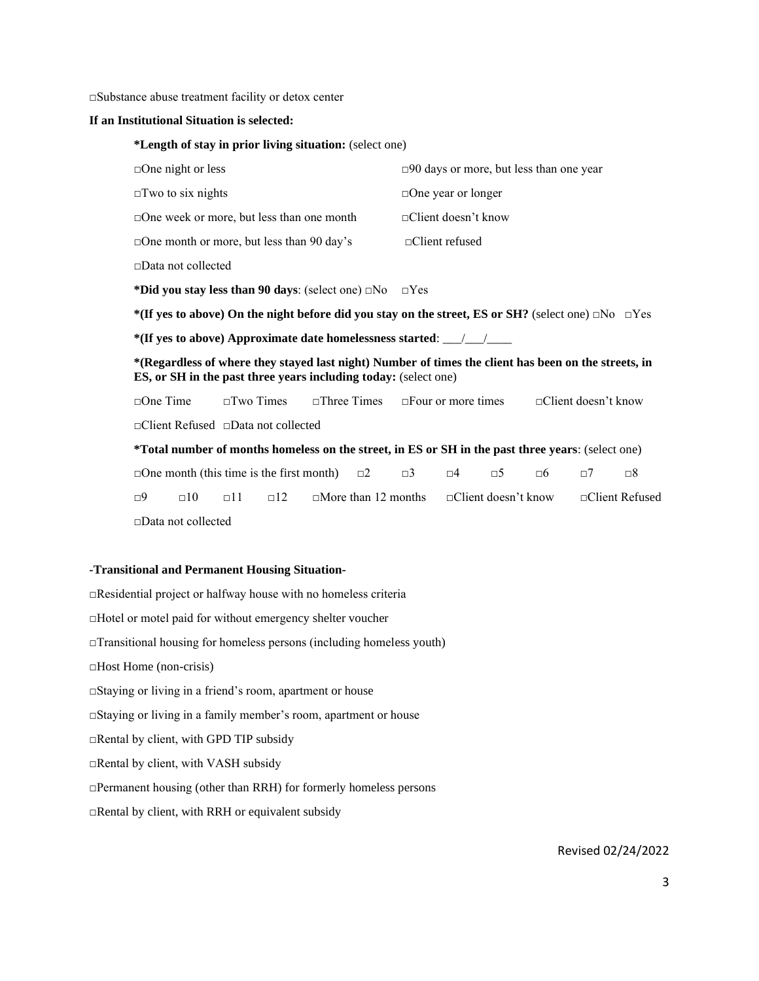□Substance abuse treatment facility or detox center

#### **If an Institutional Situation is selected:**

**\*Length of stay in prior living situation:** (select one)

| $\Box$ One night or less                                                                                                                                                       |                     |              |                                                                             |                           | □90 days or more, but less than one year     |                            |             |
|--------------------------------------------------------------------------------------------------------------------------------------------------------------------------------|---------------------|--------------|-----------------------------------------------------------------------------|---------------------------|----------------------------------------------|----------------------------|-------------|
| $\square$ Two to six nights                                                                                                                                                    |                     |              |                                                                             | $\Box$ One year or longer |                                              |                            |             |
| $\Box$ One week or more, but less than one month                                                                                                                               |                     |              |                                                                             | □Client doesn't know      |                                              |                            |             |
| $\Box$ One month or more, but less than 90 day's                                                                                                                               |                     |              |                                                                             | $\Box$ Client refused     |                                              |                            |             |
| $\square$ Data not collected                                                                                                                                                   |                     |              |                                                                             |                           |                                              |                            |             |
| *Did you stay less than 90 days: (select one) $\Box$ No $\Box$ Yes                                                                                                             |                     |              |                                                                             |                           |                                              |                            |             |
| *(If yes to above) On the night before did you stay on the street, ES or SH? (select one) $\Box$ No $\Box$ Yes                                                                 |                     |              |                                                                             |                           |                                              |                            |             |
|                                                                                                                                                                                |                     |              |                                                                             |                           |                                              |                            |             |
| *(Regardless of where they stayed last night) Number of times the client has been on the streets, in<br><b>ES, or SH</b> in the past three years including today: (select one) |                     |              |                                                                             |                           |                                              |                            |             |
| $\Box$ One Time                                                                                                                                                                | $\square$ Two Times |              | $\Box$ Three Times $\Box$ Four or more times                                |                           |                                              | $\Box$ Client doesn't know |             |
| $\Box$ Client Refused $\Box$ Data not collected                                                                                                                                |                     |              |                                                                             |                           |                                              |                            |             |
| *Total number of months homeless on the street, in ES or SH in the past three years: (select one)                                                                              |                     |              |                                                                             |                           |                                              |                            |             |
| $\Box$ One month (this time is the first month) $\Box$ 2                                                                                                                       |                     |              |                                                                             |                           | $\Box$ 3 $\Box$ 4 $\Box$ 5 $\Box$ 6 $\Box$ 7 |                            | $\square 8$ |
| $\Box$ 10<br>$\Box$ 9                                                                                                                                                          | $\Box$ 11           | $\square$ 12 | $\Box$ More than 12 months $\Box$ Client doesn't know $\Box$ Client Refused |                           |                                              |                            |             |
| $\Box$ Data not collected                                                                                                                                                      |                     |              |                                                                             |                           |                                              |                            |             |

## **-Transitional and Permanent Housing Situation-**

□Residential project or halfway house with no homeless criteria □Hotel or motel paid for without emergency shelter voucher □Transitional housing for homeless persons (including homeless youth) □Host Home (non-crisis) □Staying or living in a friend's room, apartment or house □Staying or living in a family member's room, apartment or house □Rental by client, with GPD TIP subsidy □Rental by client, with VASH subsidy □Permanent housing (other than RRH) for formerly homeless persons □Rental by client, with RRH or equivalent subsidy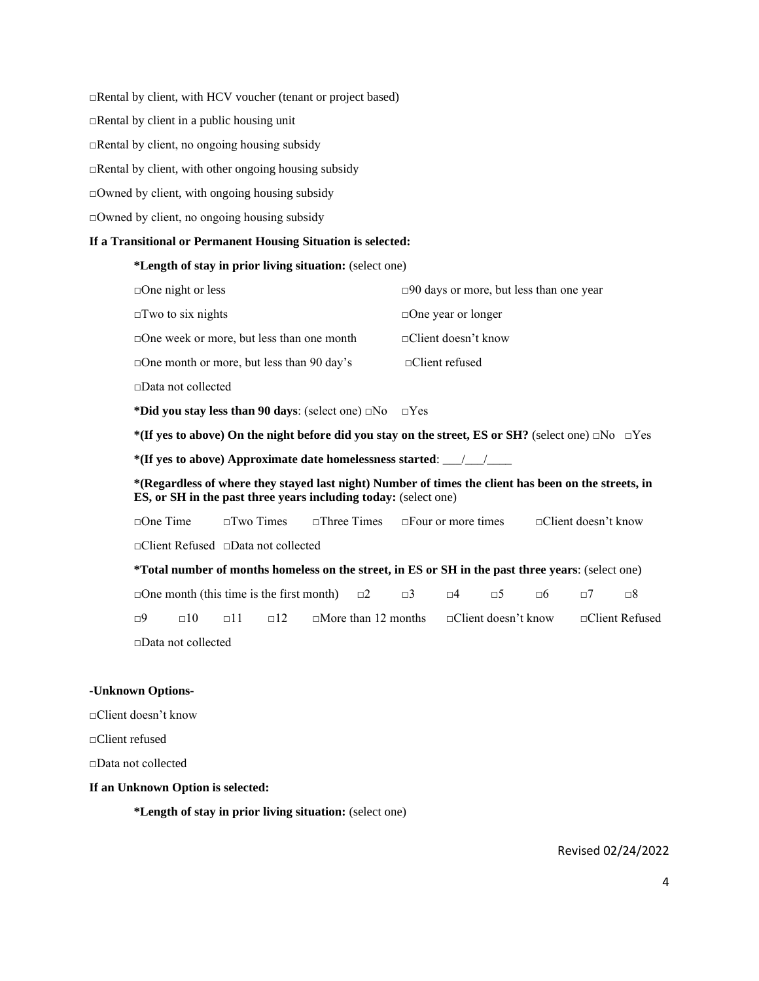□Rental by client, with HCV voucher (tenant or project based)  $\Box$ Rental by client in a public housing unit □Rental by client, no ongoing housing subsidy  $\Box$ Rental by client, with other ongoing housing subsidy □Owned by client, with ongoing housing subsidy □Owned by client, no ongoing housing subsidy

#### **If a Transitional or Permanent Housing Situation is selected:**

#### **\*Length of stay in prior living situation:** (select one)

| $\Box$ One night or less                         | $\square$ 90 days or more, but less than one year |
|--------------------------------------------------|---------------------------------------------------|
| $\square$ Two to six nights                      | $\Box$ One year or longer                         |
| $\Box$ One week or more, but less than one month | $\Box$ Client doesn't know                        |
| $\Box$ One month or more, but less than 90 day's | $\Box$ Client refused                             |
| □Data not collected                              |                                                   |

**\*Did you stay less than 90 days**: (select one) □No □Yes

**\*(If yes to above) On the night before did you stay on the street, ES or SH?** (select one) □No □Yes

**\*(If yes to above) Approximate date homelessness started**: \_\_\_/\_\_\_/\_\_\_\_

**\*(Regardless of where they stayed last night) Number of times the client has been on the streets, in ES, or SH in the past three years including today:** (select one)

□One Time □Two Times □Three Times □Four or more times □Client doesn't know □Client Refused □Data not collected

**\*Total number of months homeless on the street, in ES or SH in the past three years**: (select one)

□One month (this time is the first month) □2 □3 □4 □5 □6 □7 □8 □9 □10 □11 □12 □More than 12 months □Client doesn't know □Client Refused □Data not collected

#### **-Unknown Options-**

□Client doesn't know

□Client refused

□Data not collected

#### **If an Unknown Option is selected:**

**\*Length of stay in prior living situation:** (select one)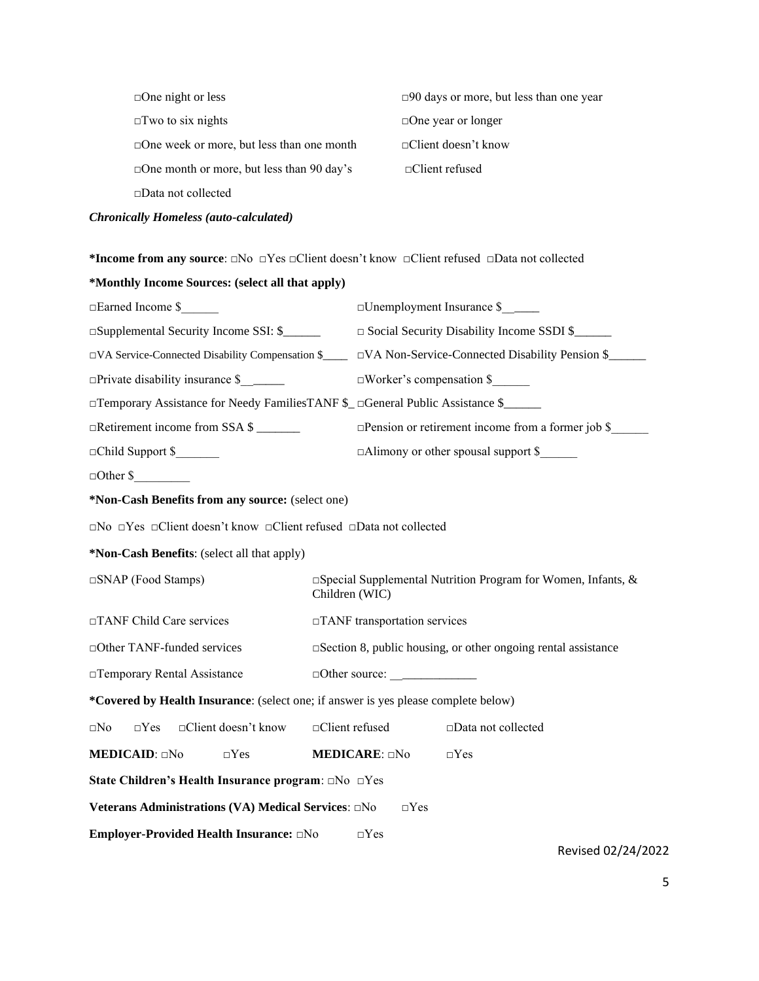| $\Box$ One night or less                         | $\square$ 90 days or more, but less than one year |
|--------------------------------------------------|---------------------------------------------------|
| $\Box$ Two to six nights                         | $\Box$ One year or longer                         |
| □ One week or more, but less than one month      | $\Box$ Client doesn't know                        |
| $\Box$ One month or more, but less than 90 day's | $\Box$ Client refused                             |
| $\square$ Data not collected                     |                                                   |
| <b>Chronically Homeless (auto-calculated)</b>    |                                                   |

**\*Income from any source**: □No □Yes □Client doesn't know □Client refused □Data not collected

| *Monthly Income Sources: (select all that apply)                                                               |                                                                                                          |
|----------------------------------------------------------------------------------------------------------------|----------------------------------------------------------------------------------------------------------|
| □Earned Income \$                                                                                              | □Unemployment Insurance \$                                                                               |
| □Supplemental Security Income SSI: \$                                                                          | □ Social Security Disability Income SSDI \$                                                              |
|                                                                                                                | □VA Service-Connected Disability Compensation \$<br>□VA Non-Service-Connected Disability Pension \$<br>□ |
| $\Box$ Private disability insurance \$                                                                         | $\square$ Worker's compensation \$                                                                       |
|                                                                                                                | □Temporary Assistance for Needy FamiliesTANF \$_ □General Public Assistance \$_____                      |
| □Retirement income from SSA \$                                                                                 | $\Box$ Pension or retirement income from a former job \$                                                 |
| □Child Support \$                                                                                              | □Alimony or other spousal support \$                                                                     |
| $\Box$ Other \$                                                                                                |                                                                                                          |
| *Non-Cash Benefits from any source: (select one)                                                               |                                                                                                          |
| $\square$ No $\square$ Yes $\square$ Client doesn't know $\square$ Client refused $\square$ Data not collected |                                                                                                          |
| *Non-Cash Benefits: (select all that apply)                                                                    |                                                                                                          |
| □SNAP (Food Stamps)                                                                                            | $\Box$ Special Supplemental Nutrition Program for Women, Infants, &<br>Children (WIC)                    |
| □TANF Child Care services                                                                                      | □TANF transportation services                                                                            |
| □ Other TANF-funded services                                                                                   | $\square$ Section 8, public housing, or other ongoing rental assistance                                  |
| □ Temporary Rental Assistance                                                                                  |                                                                                                          |
| *Covered by Health Insurance: (select one; if answer is yes please complete below)                             |                                                                                                          |
| □Client doesn't know<br>$\square No$<br>$\Box Yes$                                                             | □Client refused<br>□Data not collected                                                                   |
| MEDICAID: aNo<br>$\Box Yes$                                                                                    | <b>MEDICARE:</b> aNo<br>$\Box$ Yes                                                                       |
| State Children's Health Insurance program: $\Box$ No $\Box$ Yes                                                |                                                                                                          |
| Veterans Administrations (VA) Medical Services: □No                                                            | $\Box$ Yes                                                                                               |
| Employer-Provided Health Insurance: DNo                                                                        | $\Box$ Yes<br>Revised 02/24/2022                                                                         |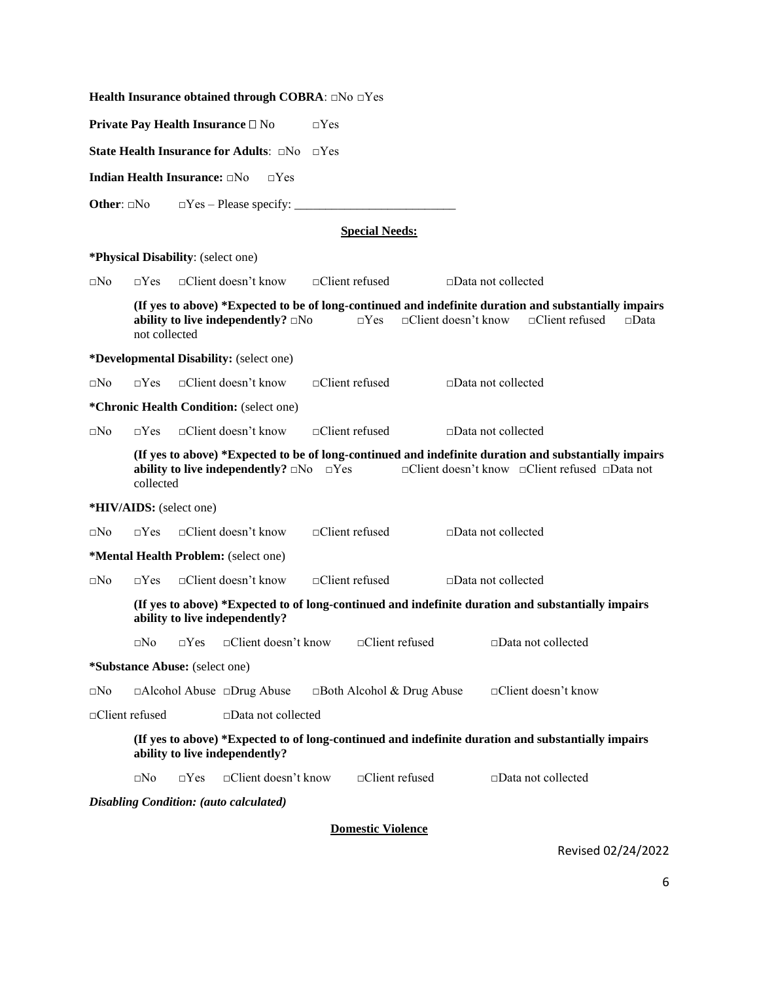**Health Insurance obtained through COBRA**: □No □Yes **Private Pay Health Insurance** □ No □Yes **State Health Insurance for Adults**: □No □Yes **Indian Health Insurance:** □No □Yes **Other**: □No □Yes – Please specify: \_\_\_\_\_\_\_\_\_\_\_\_\_\_\_\_\_\_\_\_\_\_\_\_\_\_ **Special Needs: \*Physical Disability**: (select one) □No □Yes □Client doesn't know □Client refused □Data not collected **(If yes to above) \*Expected to be of long-continued and indefinite duration and substantially impairs ability to live independently?** □No □Yes □Client doesn't know □Client refused □Data not collected **\*Developmental Disability:** (select one) □No □Yes □Client doesn't know □Client refused □Data not collected **\*Chronic Health Condition:** (select one) □No □Yes □Client doesn't know □Client refused □Data not collected **(If yes to above) \*Expected to be of long-continued and indefinite duration and substantially impairs ability to live independently?** □No □Yes □Client doesn't know □Client refused □Data not collected **\*HIV/AIDS:** (select one) □No □Yes □Client doesn't know □Client refused □Data not collected **\*Mental Health Problem:** (select one) □No □Yes □Client doesn't know □Client refused □Data not collected **(If yes to above) \*Expected to of long-continued and indefinite duration and substantially impairs ability to live independently?** □No □Yes □Client doesn't know □Client refused □Data not collected **\*Substance Abuse:** (select one) □No □Alcohol Abuse □Drug Abuse □Both Alcohol & Drug Abuse □Client doesn't know □Client refused □Data not collected **(If yes to above) \*Expected to of long-continued and indefinite duration and substantially impairs ability to live independently?** □No □Yes □Client doesn't know □Client refused □Data not collected *Disabling Condition: (auto calculated)*

**Domestic Violence**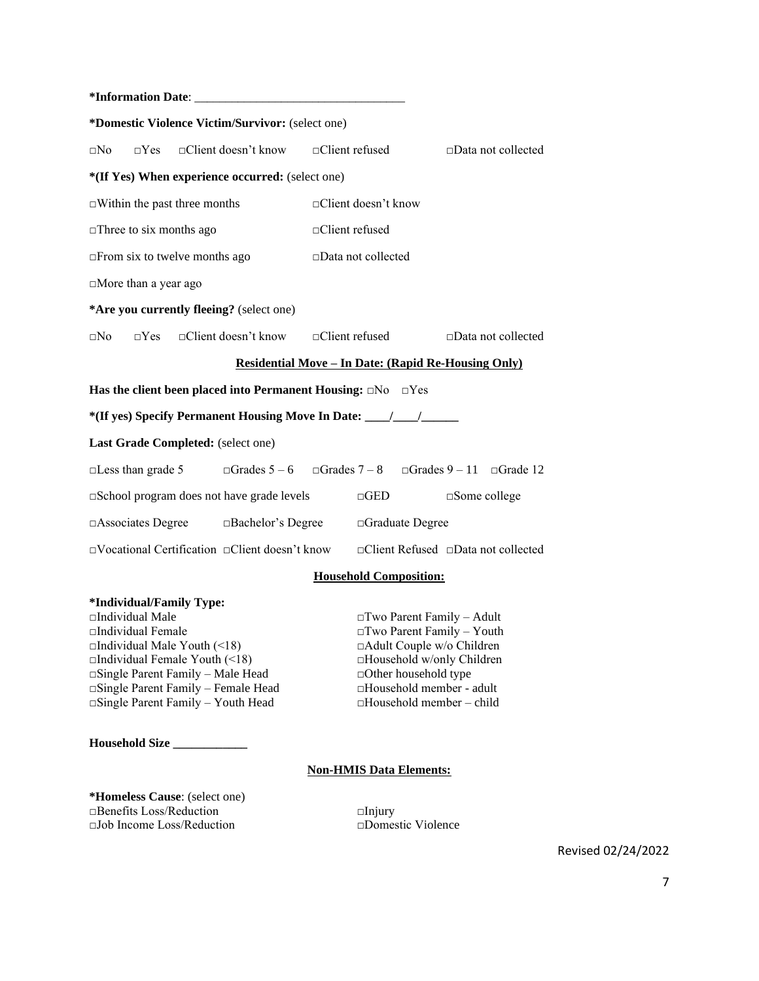| *Information Date:                                      |                                                                                   |  |                      |                                                                                                 |  |  |  |  |
|---------------------------------------------------------|-----------------------------------------------------------------------------------|--|----------------------|-------------------------------------------------------------------------------------------------|--|--|--|--|
| <i>*Domestic Violence Victim/Survivor:</i> (select one) |                                                                                   |  |                      |                                                                                                 |  |  |  |  |
| $\square$ No                                            | $\Box$ Yes $\Box$ Client doesn't know $\Box$ Client refused                       |  |                      | $\square$ Data not collected                                                                    |  |  |  |  |
| *(If Yes) When experience occurred: (select one)        |                                                                                   |  |                      |                                                                                                 |  |  |  |  |
|                                                         | $\Box$ Within the past three months                                               |  | □Client doesn't know |                                                                                                 |  |  |  |  |
| $\Box$ Three to six months ago                          |                                                                                   |  | □Client refused      |                                                                                                 |  |  |  |  |
|                                                         | $\Box$ From six to twelve months ago                                              |  | □Data not collected  |                                                                                                 |  |  |  |  |
| $\Box$ More than a year ago                             |                                                                                   |  |                      |                                                                                                 |  |  |  |  |
|                                                         | *Are you currently fleeing? (select one)                                          |  |                      |                                                                                                 |  |  |  |  |
| $\square$ No                                            | $\square$ Yes $\square$ Client doesn't know $\square$ Client refused              |  |                      | $\square$ Data not collected                                                                    |  |  |  |  |
|                                                         |                                                                                   |  |                      | <u> Residential Move – In Date: (Rapid Re-Housing Only)</u>                                     |  |  |  |  |
|                                                         | Has the client been placed into Permanent Housing: $\square$ No $\square$ Yes     |  |                      |                                                                                                 |  |  |  |  |
|                                                         | *(If yes) Specify Permanent Housing Move In Date: _______________________________ |  |                      |                                                                                                 |  |  |  |  |
|                                                         | Last Grade Completed: (select one)                                                |  |                      |                                                                                                 |  |  |  |  |
|                                                         |                                                                                   |  |                      | □Less than grade 5 $\Box$ Grades 5 - 6 $\Box$ Grades 7 - 8 $\Box$ Grades 9 - 11 $\Box$ Grade 12 |  |  |  |  |
|                                                         | $\square$ School program does not have grade levels                               |  | $\Box$ GED           | $\square$ Some college                                                                          |  |  |  |  |
|                                                         | $\Box$ Associates Degree $\Box$ Bachelor's Degree                                 |  |                      | □Graduate Degree                                                                                |  |  |  |  |
|                                                         | $\Box$ Vocational Certification $\Box$ Client doesn't know                        |  |                      | $\Box$ Client Refused $\Box$ Data not collected                                                 |  |  |  |  |
| <b>Household Composition:</b>                           |                                                                                   |  |                      |                                                                                                 |  |  |  |  |
| $\Delta T$ is a second of $\Delta T$                    |                                                                                   |  |                      |                                                                                                 |  |  |  |  |

### **\*Individual/Family Type:**

□Individual Male □Two Parent Family – Adult □Individual Female<br>□Individual Male Youth (<18) □ △ □ △ □ △ △ □ △ △ □ △ △ □ △ △ △ △ □ △ △ △ □ △ △ △ △ △ □ △ △ △ □ △ △ △ □ △ △ △ □ △ △ △ □ △ △ □ △ △ □ △ △ □ △ △ □ △ △ □ △ △ □ △ △ □ △ △ □ △ △ □ △ △ □ △ △ □ △ △ □ △ △ □ △ △ □ □Individual Male Youth (<18) □Adult Couple w/o Children<br>□Individual Female Youth (<18) □Household w/only Children □Individual Female Youth (<18) □Household w/only Chi<br>□Single Parent Family – Male Head □Other household type □Single Parent Family – Male Head □Other household type<br>□Single Parent Family – Female Head □Household member - adult □Single Parent Family – Female Head □Single Parent Family – Youth Head □Household member – child

**Household Size \_\_\_\_\_\_\_\_\_\_\_\_**

# **Non-HMIS Data Elements:**

**\*Homeless Cause**: (select one) □Benefits Loss/Reduction □Injury □Job Income Loss/Reduction □Domestic Violence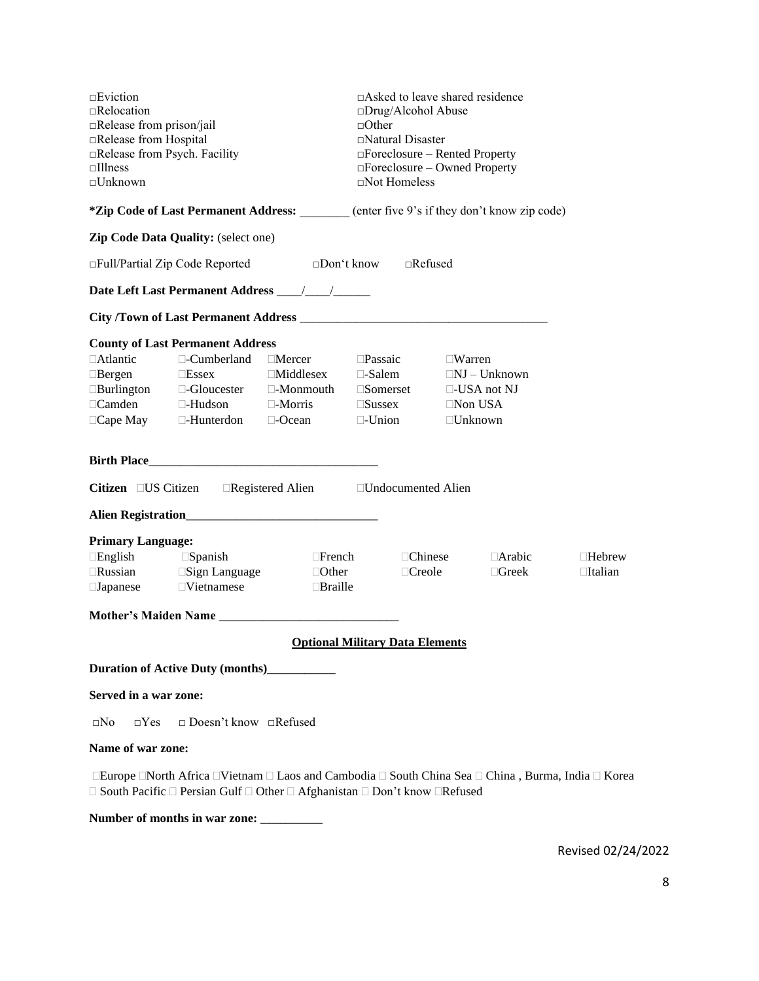| $\square$ Eviction<br>$\Box$ Relocation<br>□Release from prison/jail<br>□Release from Hospital<br>□Release from Psych. Facility<br>$\Box$ Illness<br>$\square$ Unknown                                                                                                                                                                                                                                                                                                              |                                              |                                                                                                   | $\Box$ Asked to leave shared residence<br>$\square$ Drug/Alcohol Abuse<br>$\Box$ Other<br>□Natural Disaster<br>□Foreclosure – Rented Property<br>$\Box$ Foreclosure – Owned Property<br>$\Box$ Not Homeless |               |  |                               |                                 |
|-------------------------------------------------------------------------------------------------------------------------------------------------------------------------------------------------------------------------------------------------------------------------------------------------------------------------------------------------------------------------------------------------------------------------------------------------------------------------------------|----------------------------------------------|---------------------------------------------------------------------------------------------------|-------------------------------------------------------------------------------------------------------------------------------------------------------------------------------------------------------------|---------------|--|-------------------------------|---------------------------------|
|                                                                                                                                                                                                                                                                                                                                                                                                                                                                                     |                                              | <i>*Zip</i> Code of Last Permanent Address: (enter five 9's if they don't know zip code)          |                                                                                                                                                                                                             |               |  |                               |                                 |
|                                                                                                                                                                                                                                                                                                                                                                                                                                                                                     | Zip Code Data Quality: (select one)          |                                                                                                   |                                                                                                                                                                                                             |               |  |                               |                                 |
|                                                                                                                                                                                                                                                                                                                                                                                                                                                                                     |                                              | $\Box$ Full/Partial Zip Code Reported $\Box$ Don't know $\Box$ Refused                            |                                                                                                                                                                                                             |               |  |                               |                                 |
|                                                                                                                                                                                                                                                                                                                                                                                                                                                                                     |                                              |                                                                                                   |                                                                                                                                                                                                             |               |  |                               |                                 |
|                                                                                                                                                                                                                                                                                                                                                                                                                                                                                     |                                              |                                                                                                   |                                                                                                                                                                                                             |               |  |                               |                                 |
| <b>County of Last Permanent Address</b><br>$\Box$ Atlantic<br>$\Box$ -Cumberland $\Box$ Mercer<br>$\square$ Passaic $\square$ Warren<br>$\Box$ Essex $\Box$ Middlesex $\Box$ -Salem $\Box$ NJ – Unknown<br>$\Box$ Bergen<br>$\Box$ Burlington $\Box$ -Gloucester $\Box$ -Monmouth $\Box$ Somerset $\Box$ -USA not NJ<br>$\Box$ Camden $\Box$ -Hudson $\Box$ -Morris $\Box$ Sussex $\Box$ Non USA<br>$\Box$ Cape May $\Box$ -Hunterdon $\Box$ -Ocean $\Box$ -Union<br>$\Box$ Unknown |                                              |                                                                                                   |                                                                                                                                                                                                             |               |  |                               |                                 |
|                                                                                                                                                                                                                                                                                                                                                                                                                                                                                     |                                              |                                                                                                   |                                                                                                                                                                                                             |               |  |                               |                                 |
|                                                                                                                                                                                                                                                                                                                                                                                                                                                                                     |                                              | Citizen □ US Citizen □ Registered Alien □ Undocumented Alien                                      |                                                                                                                                                                                                             |               |  |                               |                                 |
|                                                                                                                                                                                                                                                                                                                                                                                                                                                                                     |                                              |                                                                                                   |                                                                                                                                                                                                             |               |  |                               |                                 |
| <b>Primary Language:</b>                                                                                                                                                                                                                                                                                                                                                                                                                                                            |                                              |                                                                                                   |                                                                                                                                                                                                             |               |  |                               |                                 |
| $\Box$ English<br>$\square$ Japanese $\square$ Vietnamese                                                                                                                                                                                                                                                                                                                                                                                                                           | $\square$ Spanish                            | $\Box$ French $\Box$ Chinese<br>$\Box$ Russian $\Box$ Sign Language $\Box$ Other<br>and a Braille |                                                                                                                                                                                                             | $\Box$ Creole |  | $\Box$ Arabic<br>$\Box$ Greek | $\Box$ Hebrew<br>$\Box$ Italian |
|                                                                                                                                                                                                                                                                                                                                                                                                                                                                                     |                                              |                                                                                                   |                                                                                                                                                                                                             |               |  |                               |                                 |
|                                                                                                                                                                                                                                                                                                                                                                                                                                                                                     |                                              | <b>Optional Military Data Elements</b>                                                            |                                                                                                                                                                                                             |               |  |                               |                                 |
|                                                                                                                                                                                                                                                                                                                                                                                                                                                                                     | Duration of Active Duty (months)____________ |                                                                                                   |                                                                                                                                                                                                             |               |  |                               |                                 |
| Served in a war zone:                                                                                                                                                                                                                                                                                                                                                                                                                                                               |                                              |                                                                                                   |                                                                                                                                                                                                             |               |  |                               |                                 |
| $\Box$ Doesn't know $\Box$ Refused<br>$\Box$ Yes<br>$\square$ No                                                                                                                                                                                                                                                                                                                                                                                                                    |                                              |                                                                                                   |                                                                                                                                                                                                             |               |  |                               |                                 |
| Name of war zone:                                                                                                                                                                                                                                                                                                                                                                                                                                                                   |                                              |                                                                                                   |                                                                                                                                                                                                             |               |  |                               |                                 |
| □Europe □North Africa □Vietnam □ Laos and Cambodia □ South China Sea □ China, Burma, India □ Korea<br>$\Box$ South Pacific $\Box$ Persian Gulf $\Box$ Other $\Box$ Afghanistan $\Box$ Don't know $\Box$ Refused                                                                                                                                                                                                                                                                     |                                              |                                                                                                   |                                                                                                                                                                                                             |               |  |                               |                                 |

**Number of months in war zone: \_\_\_\_\_\_\_\_\_\_**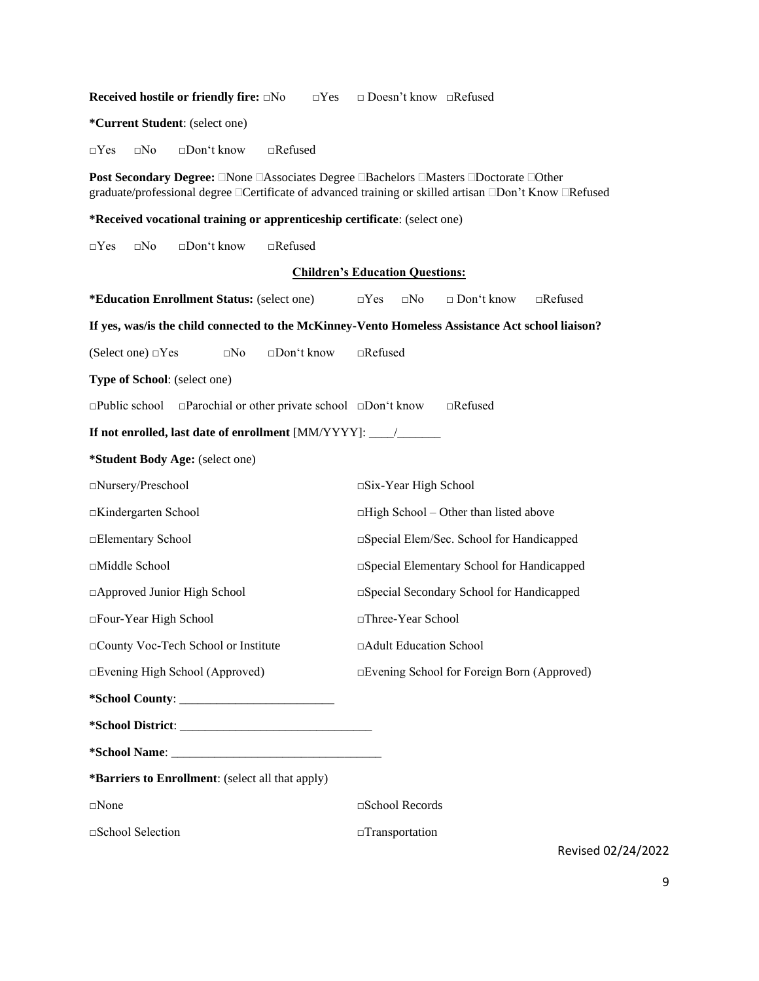| <b>Received hostile or friendly fire: □No</b><br>$\Box$ Yes                                                                                                                                     | $\Box$ Doesn't know $\Box$ Refused                           |
|-------------------------------------------------------------------------------------------------------------------------------------------------------------------------------------------------|--------------------------------------------------------------|
| *Current Student: (select one)                                                                                                                                                                  |                                                              |
| $\square$ Yes<br>$\Box$ Refused<br>$\square$ No<br>$\square$ Don't know                                                                                                                         |                                                              |
| Post Secondary Degree: □None □Associates Degree □Bachelors □Masters □Doctorate □Other<br>graduate/professional degree □Certificate of advanced training or skilled artisan □Don't Know □Refused |                                                              |
| *Received vocational training or apprenticeship certificate: (select one)                                                                                                                       |                                                              |
| $\Box$ Yes<br>□Don't know<br>$\Box$ Refused<br>$\square$ No                                                                                                                                     |                                                              |
|                                                                                                                                                                                                 | <b>Children's Education Questions:</b>                       |
| *Education Enrollment Status: (select one)                                                                                                                                                      | □ Don't know<br>$\Box$ Yes<br>$\square$ No<br>$\Box$ Refused |
| If yes, was/is the child connected to the McKinney-Vento Homeless Assistance Act school liaison?                                                                                                |                                                              |
| (Select one) □Yes<br>$\square$ No<br>□Don't know                                                                                                                                                | $\Box$ Refused                                               |
| Type of School: (select one)                                                                                                                                                                    |                                                              |
| $\Box$ Public school $\Box$ Parochial or other private school $\Box$ Don't know                                                                                                                 | $\Box$ Refused                                               |
| If not enrolled, last date of enrollment [MM/YYYY]: ____________________________                                                                                                                |                                                              |
| *Student Body Age: (select one)                                                                                                                                                                 |                                                              |
| □Nursery/Preschool                                                                                                                                                                              | □Six-Year High School                                        |
| □Kindergarten School                                                                                                                                                                            | $\Box$ High School – Other than listed above                 |
| □Elementary School                                                                                                                                                                              | □ Special Elem/Sec. School for Handicapped                   |
| □Middle School                                                                                                                                                                                  | □Special Elementary School for Handicapped                   |
| □ Approved Junior High School                                                                                                                                                                   | □ Special Secondary School for Handicapped                   |
| □Four-Year High School                                                                                                                                                                          | □Three-Year School                                           |
| County Voc-Tech School or Institute                                                                                                                                                             | □Adult Education School                                      |
| Evening High School (Approved)                                                                                                                                                                  | □Evening School for Foreign Born (Approved)                  |
|                                                                                                                                                                                                 |                                                              |
|                                                                                                                                                                                                 |                                                              |
|                                                                                                                                                                                                 |                                                              |
| *Barriers to Enrollment: (select all that apply)                                                                                                                                                |                                                              |
| $\square$ None                                                                                                                                                                                  | □School Records                                              |
| □School Selection                                                                                                                                                                               | □Transportation                                              |
|                                                                                                                                                                                                 | Revised 02/24/2022                                           |